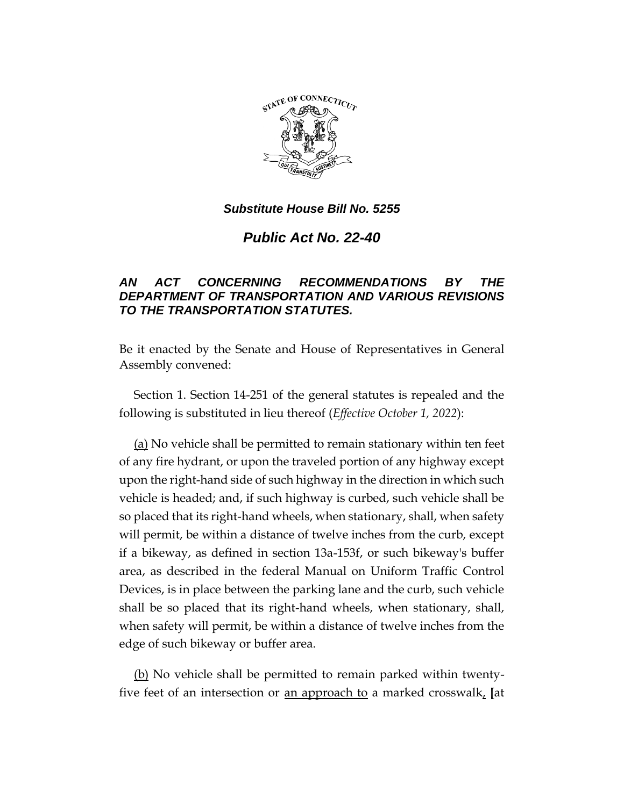

*Public Act No. 22-40*

# *AN ACT CONCERNING RECOMMENDATIONS BY THE DEPARTMENT OF TRANSPORTATION AND VARIOUS REVISIONS TO THE TRANSPORTATION STATUTES.*

Be it enacted by the Senate and House of Representatives in General Assembly convened:

Section 1. Section 14-251 of the general statutes is repealed and the following is substituted in lieu thereof (*Effective October 1, 2022*):

(a) No vehicle shall be permitted to remain stationary within ten feet of any fire hydrant, or upon the traveled portion of any highway except upon the right-hand side of such highway in the direction in which such vehicle is headed; and, if such highway is curbed, such vehicle shall be so placed that its right-hand wheels, when stationary, shall, when safety will permit, be within a distance of twelve inches from the curb, except if a bikeway, as defined in section 13a-153f, or such bikeway's buffer area, as described in the federal Manual on Uniform Traffic Control Devices, is in place between the parking lane and the curb, such vehicle shall be so placed that its right-hand wheels, when stationary, shall, when safety will permit, be within a distance of twelve inches from the edge of such bikeway or buffer area.

(b) No vehicle shall be permitted to remain parked within twentyfive feet of an intersection or an approach to a marked crosswalk, **[**at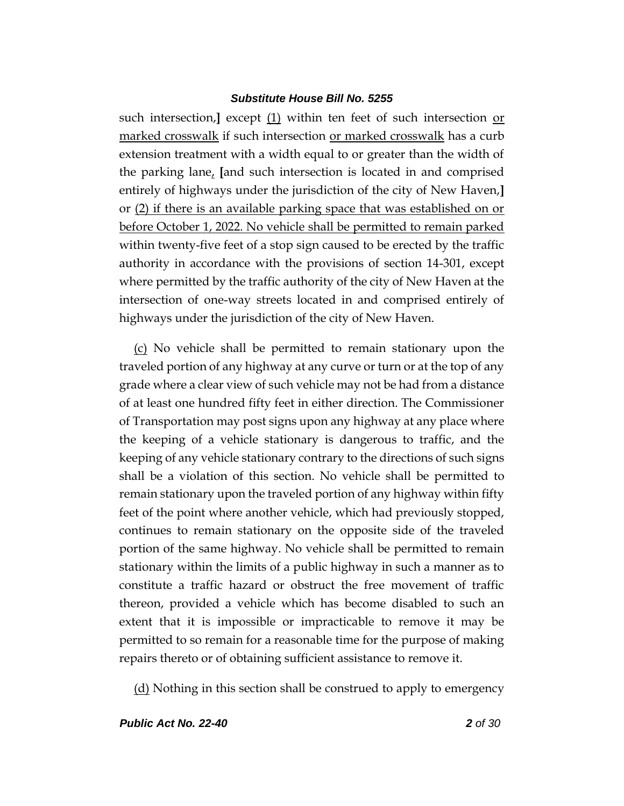such intersection,**]** except (1) within ten feet of such intersection or marked crosswalk if such intersection or marked crosswalk has a curb extension treatment with a width equal to or greater than the width of the parking lane, **[**and such intersection is located in and comprised entirely of highways under the jurisdiction of the city of New Haven,**]** or (2) if there is an available parking space that was established on or before October 1, 2022. No vehicle shall be permitted to remain parked within twenty-five feet of a stop sign caused to be erected by the traffic authority in accordance with the provisions of section 14-301, except where permitted by the traffic authority of the city of New Haven at the intersection of one-way streets located in and comprised entirely of highways under the jurisdiction of the city of New Haven.

(c) No vehicle shall be permitted to remain stationary upon the traveled portion of any highway at any curve or turn or at the top of any grade where a clear view of such vehicle may not be had from a distance of at least one hundred fifty feet in either direction. The Commissioner of Transportation may post signs upon any highway at any place where the keeping of a vehicle stationary is dangerous to traffic, and the keeping of any vehicle stationary contrary to the directions of such signs shall be a violation of this section. No vehicle shall be permitted to remain stationary upon the traveled portion of any highway within fifty feet of the point where another vehicle, which had previously stopped, continues to remain stationary on the opposite side of the traveled portion of the same highway. No vehicle shall be permitted to remain stationary within the limits of a public highway in such a manner as to constitute a traffic hazard or obstruct the free movement of traffic thereon, provided a vehicle which has become disabled to such an extent that it is impossible or impracticable to remove it may be permitted to so remain for a reasonable time for the purpose of making repairs thereto or of obtaining sufficient assistance to remove it.

(d) Nothing in this section shall be construed to apply to emergency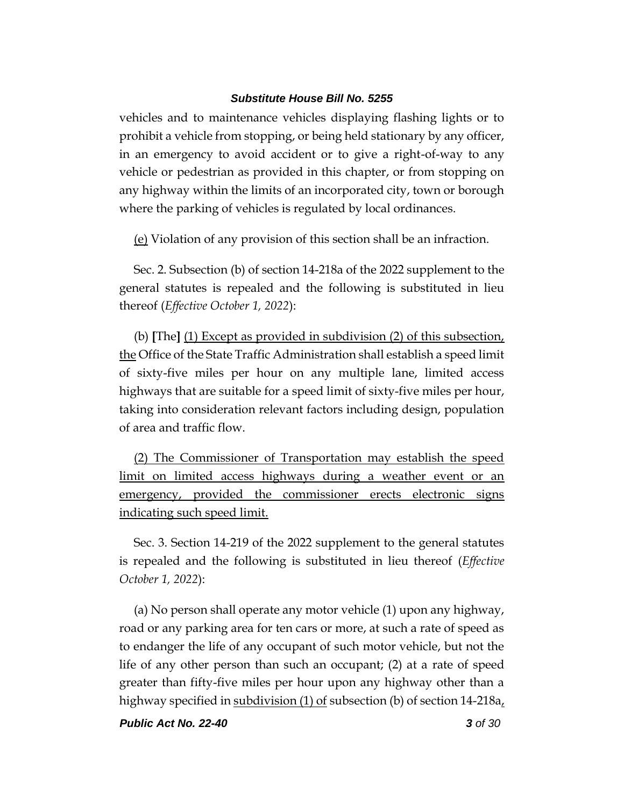vehicles and to maintenance vehicles displaying flashing lights or to prohibit a vehicle from stopping, or being held stationary by any officer, in an emergency to avoid accident or to give a right-of-way to any vehicle or pedestrian as provided in this chapter, or from stopping on any highway within the limits of an incorporated city, town or borough where the parking of vehicles is regulated by local ordinances.

(e) Violation of any provision of this section shall be an infraction.

Sec. 2. Subsection (b) of section 14-218a of the 2022 supplement to the general statutes is repealed and the following is substituted in lieu thereof (*Effective October 1, 2022*):

(b) **[**The**]** (1) Except as provided in subdivision (2) of this subsection, the Office of the State Traffic Administration shall establish a speed limit of sixty-five miles per hour on any multiple lane, limited access highways that are suitable for a speed limit of sixty-five miles per hour, taking into consideration relevant factors including design, population of area and traffic flow.

(2) The Commissioner of Transportation may establish the speed limit on limited access highways during a weather event or an emergency, provided the commissioner erects electronic signs indicating such speed limit.

Sec. 3. Section 14-219 of the 2022 supplement to the general statutes is repealed and the following is substituted in lieu thereof (*Effective October 1, 2022*):

(a) No person shall operate any motor vehicle (1) upon any highway, road or any parking area for ten cars or more, at such a rate of speed as to endanger the life of any occupant of such motor vehicle, but not the life of any other person than such an occupant; (2) at a rate of speed greater than fifty-five miles per hour upon any highway other than a highway specified in subdivision (1) of subsection (b) of section  $14-218a<sub>L</sub>$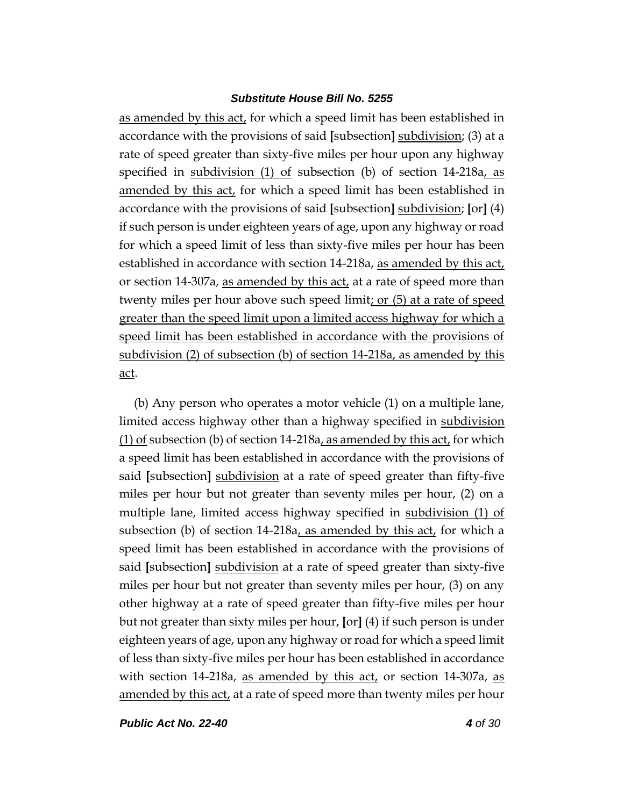as amended by this act, for which a speed limit has been established in accordance with the provisions of said **[**subsection**]** subdivision; (3) at a rate of speed greater than sixty-five miles per hour upon any highway specified in <u>subdivision (1) of</u> subsection (b) of section 14-218a, as amended by this act, for which a speed limit has been established in accordance with the provisions of said **[**subsection**]** subdivision; **[**or**]** (4) if such person is under eighteen years of age, upon any highway or road for which a speed limit of less than sixty-five miles per hour has been established in accordance with section 14-218a, as amended by this act, or section 14-307a, as amended by this act, at a rate of speed more than twenty miles per hour above such speed limit; or (5) at a rate of speed greater than the speed limit upon a limited access highway for which a speed limit has been established in accordance with the provisions of subdivision (2) of subsection (b) of section 14-218a, as amended by this act.

(b) Any person who operates a motor vehicle (1) on a multiple lane, limited access highway other than a highway specified in subdivision  $(1)$  of subsection (b) of section 14-218a, as amended by this act, for which a speed limit has been established in accordance with the provisions of said **[**subsection**]** subdivision at a rate of speed greater than fifty-five miles per hour but not greater than seventy miles per hour, (2) on a multiple lane, limited access highway specified in subdivision (1) of subsection (b) of section  $14-218a$ , as amended by this act, for which a speed limit has been established in accordance with the provisions of said **[**subsection**]** subdivision at a rate of speed greater than sixty-five miles per hour but not greater than seventy miles per hour, (3) on any other highway at a rate of speed greater than fifty-five miles per hour but not greater than sixty miles per hour, **[**or**]** (4) if such person is under eighteen years of age, upon any highway or road for which a speed limit of less than sixty-five miles per hour has been established in accordance with section 14-218a, as amended by this  $act<sub>t</sub>$  or section 14-307a, as amended by this act, at a rate of speed more than twenty miles per hour

*Public Act No. 22-40 4 of 30*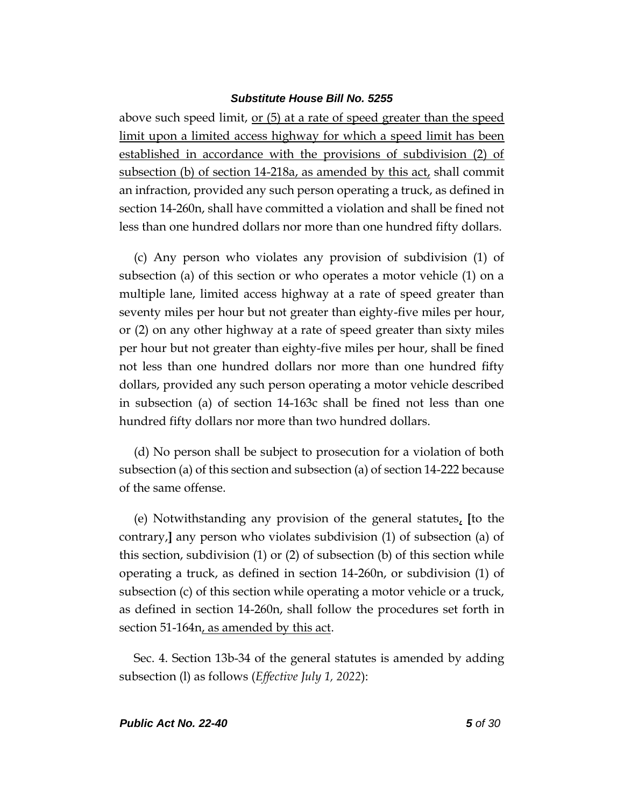above such speed limit, or (5) at a rate of speed greater than the speed limit upon a limited access highway for which a speed limit has been established in accordance with the provisions of subdivision (2) of subsection (b) of section 14-218a, as amended by this act, shall commit an infraction, provided any such person operating a truck, as defined in section 14-260n, shall have committed a violation and shall be fined not less than one hundred dollars nor more than one hundred fifty dollars.

(c) Any person who violates any provision of subdivision (1) of subsection (a) of this section or who operates a motor vehicle (1) on a multiple lane, limited access highway at a rate of speed greater than seventy miles per hour but not greater than eighty-five miles per hour, or (2) on any other highway at a rate of speed greater than sixty miles per hour but not greater than eighty-five miles per hour, shall be fined not less than one hundred dollars nor more than one hundred fifty dollars, provided any such person operating a motor vehicle described in subsection (a) of section 14-163c shall be fined not less than one hundred fifty dollars nor more than two hundred dollars.

(d) No person shall be subject to prosecution for a violation of both subsection (a) of this section and subsection (a) of section 14-222 because of the same offense.

(e) Notwithstanding any provision of the general statutes, **[**to the contrary,**]** any person who violates subdivision (1) of subsection (a) of this section, subdivision (1) or (2) of subsection (b) of this section while operating a truck, as defined in section 14-260n, or subdivision (1) of subsection (c) of this section while operating a motor vehicle or a truck, as defined in section 14-260n, shall follow the procedures set forth in section 51-164n, as amended by this act.

Sec. 4. Section 13b-34 of the general statutes is amended by adding subsection (l) as follows (*Effective July 1, 2022*):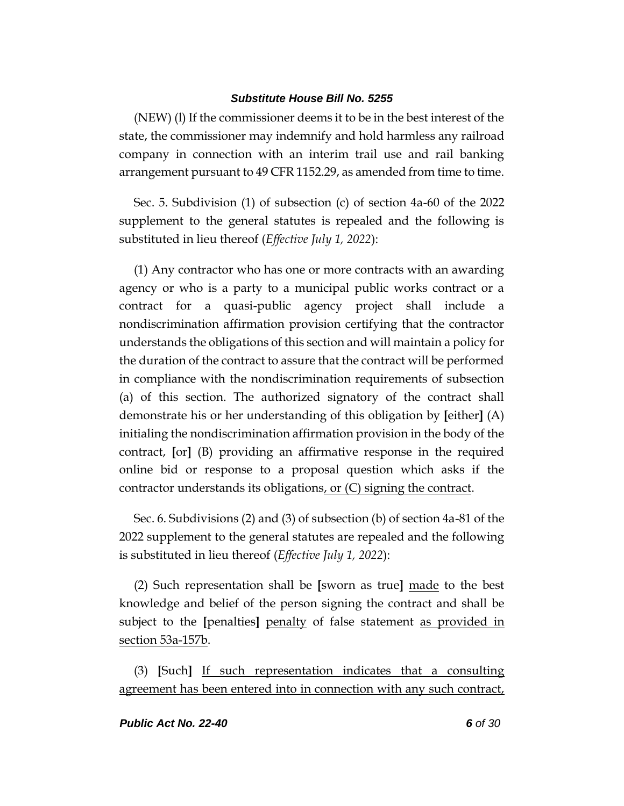(NEW) (l) If the commissioner deems it to be in the best interest of the state, the commissioner may indemnify and hold harmless any railroad company in connection with an interim trail use and rail banking arrangement pursuant to 49 CFR 1152.29, as amended from time to time.

Sec. 5. Subdivision (1) of subsection (c) of section 4a-60 of the 2022 supplement to the general statutes is repealed and the following is substituted in lieu thereof (*Effective July 1, 2022*):

(1) Any contractor who has one or more contracts with an awarding agency or who is a party to a municipal public works contract or a contract for a quasi-public agency project shall include a nondiscrimination affirmation provision certifying that the contractor understands the obligations of this section and will maintain a policy for the duration of the contract to assure that the contract will be performed in compliance with the nondiscrimination requirements of subsection (a) of this section. The authorized signatory of the contract shall demonstrate his or her understanding of this obligation by **[**either**]** (A) initialing the nondiscrimination affirmation provision in the body of the contract, **[**or**]** (B) providing an affirmative response in the required online bid or response to a proposal question which asks if the contractor understands its obligations, or (C) signing the contract.

Sec. 6. Subdivisions (2) and (3) of subsection (b) of section 4a-81 of the 2022 supplement to the general statutes are repealed and the following is substituted in lieu thereof (*Effective July 1, 2022*):

(2) Such representation shall be **[**sworn as true**]** made to the best knowledge and belief of the person signing the contract and shall be subject to the **[**penalties**]** penalty of false statement as provided in section 53a-157b.

(3) **[**Such**]** If such representation indicates that a consulting agreement has been entered into in connection with any such contract,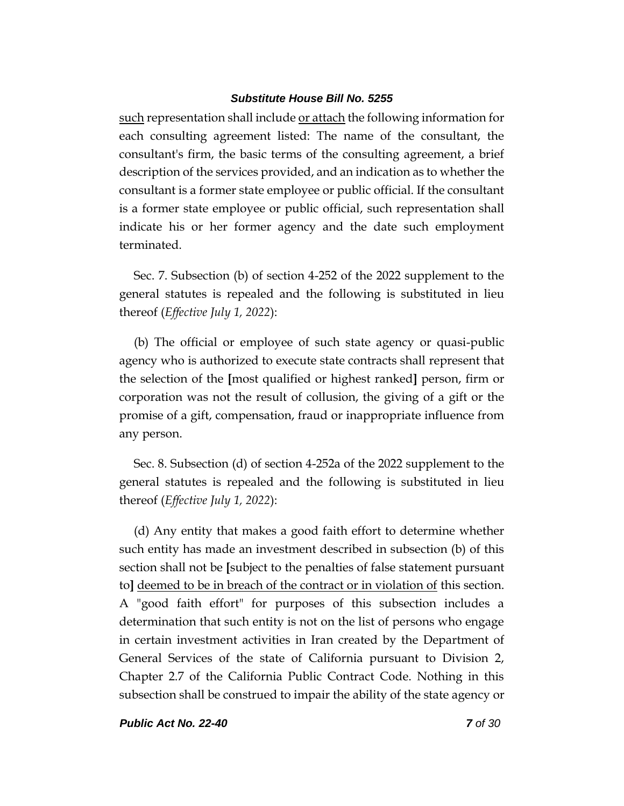such representation shall include or attach the following information for each consulting agreement listed: The name of the consultant, the consultant's firm, the basic terms of the consulting agreement, a brief description of the services provided, and an indication as to whether the consultant is a former state employee or public official. If the consultant is a former state employee or public official, such representation shall indicate his or her former agency and the date such employment terminated.

Sec. 7. Subsection (b) of section 4-252 of the 2022 supplement to the general statutes is repealed and the following is substituted in lieu thereof (*Effective July 1, 2022*):

(b) The official or employee of such state agency or quasi-public agency who is authorized to execute state contracts shall represent that the selection of the **[**most qualified or highest ranked**]** person, firm or corporation was not the result of collusion, the giving of a gift or the promise of a gift, compensation, fraud or inappropriate influence from any person.

Sec. 8. Subsection (d) of section 4-252a of the 2022 supplement to the general statutes is repealed and the following is substituted in lieu thereof (*Effective July 1, 2022*):

(d) Any entity that makes a good faith effort to determine whether such entity has made an investment described in subsection (b) of this section shall not be **[**subject to the penalties of false statement pursuant to**]** deemed to be in breach of the contract or in violation of this section. A "good faith effort" for purposes of this subsection includes a determination that such entity is not on the list of persons who engage in certain investment activities in Iran created by the Department of General Services of the state of California pursuant to Division 2, Chapter 2.7 of the California Public Contract Code. Nothing in this subsection shall be construed to impair the ability of the state agency or

*Public Act No. 22-40 7 of 30*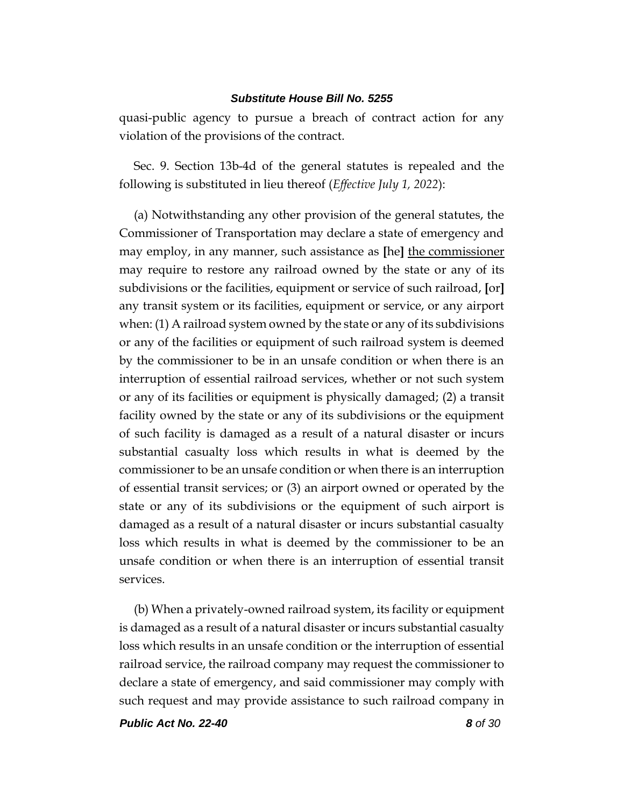quasi-public agency to pursue a breach of contract action for any violation of the provisions of the contract.

Sec. 9. Section 13b-4d of the general statutes is repealed and the following is substituted in lieu thereof (*Effective July 1, 2022*):

(a) Notwithstanding any other provision of the general statutes, the Commissioner of Transportation may declare a state of emergency and may employ, in any manner, such assistance as **[**he**]** the commissioner may require to restore any railroad owned by the state or any of its subdivisions or the facilities, equipment or service of such railroad, **[**or**]** any transit system or its facilities, equipment or service, or any airport when: (1) A railroad system owned by the state or any of its subdivisions or any of the facilities or equipment of such railroad system is deemed by the commissioner to be in an unsafe condition or when there is an interruption of essential railroad services, whether or not such system or any of its facilities or equipment is physically damaged; (2) a transit facility owned by the state or any of its subdivisions or the equipment of such facility is damaged as a result of a natural disaster or incurs substantial casualty loss which results in what is deemed by the commissioner to be an unsafe condition or when there is an interruption of essential transit services; or (3) an airport owned or operated by the state or any of its subdivisions or the equipment of such airport is damaged as a result of a natural disaster or incurs substantial casualty loss which results in what is deemed by the commissioner to be an unsafe condition or when there is an interruption of essential transit services.

(b) When a privately-owned railroad system, its facility or equipment is damaged as a result of a natural disaster or incurs substantial casualty loss which results in an unsafe condition or the interruption of essential railroad service, the railroad company may request the commissioner to declare a state of emergency, and said commissioner may comply with such request and may provide assistance to such railroad company in

*Public Act No. 22-40 8 of 30*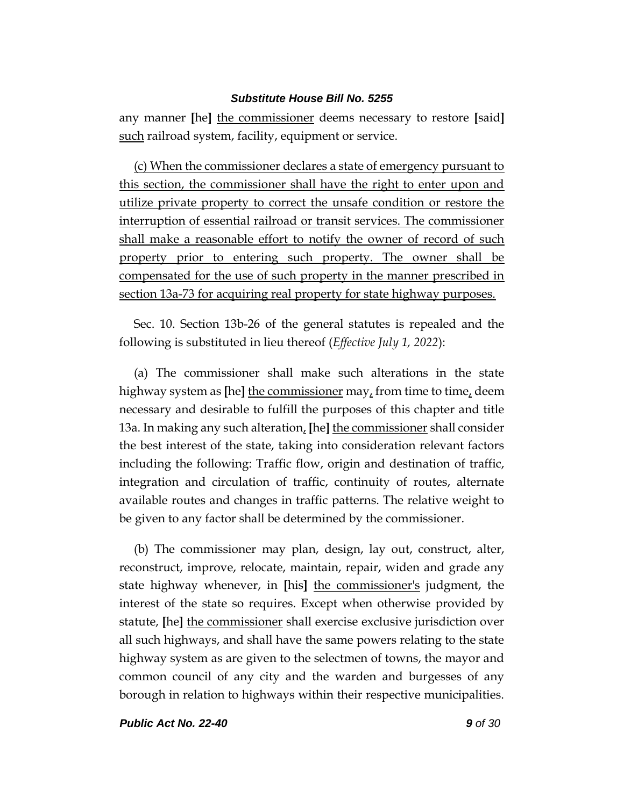any manner **[**he**]** the commissioner deems necessary to restore **[**said**]** such railroad system, facility, equipment or service.

(c) When the commissioner declares a state of emergency pursuant to this section, the commissioner shall have the right to enter upon and utilize private property to correct the unsafe condition or restore the interruption of essential railroad or transit services. The commissioner shall make a reasonable effort to notify the owner of record of such property prior to entering such property. The owner shall be compensated for the use of such property in the manner prescribed in section 13a-73 for acquiring real property for state highway purposes.

Sec. 10. Section 13b-26 of the general statutes is repealed and the following is substituted in lieu thereof (*Effective July 1, 2022*):

(a) The commissioner shall make such alterations in the state highway system as **[**he**]** the commissioner may, from time to time, deem necessary and desirable to fulfill the purposes of this chapter and title 13a. In making any such alteration, **[**he**]** the commissioner shall consider the best interest of the state, taking into consideration relevant factors including the following: Traffic flow, origin and destination of traffic, integration and circulation of traffic, continuity of routes, alternate available routes and changes in traffic patterns. The relative weight to be given to any factor shall be determined by the commissioner.

(b) The commissioner may plan, design, lay out, construct, alter, reconstruct, improve, relocate, maintain, repair, widen and grade any state highway whenever, in **[**his**]** the commissioner's judgment, the interest of the state so requires. Except when otherwise provided by statute, **[**he**]** the commissioner shall exercise exclusive jurisdiction over all such highways, and shall have the same powers relating to the state highway system as are given to the selectmen of towns, the mayor and common council of any city and the warden and burgesses of any borough in relation to highways within their respective municipalities.

*Public Act No. 22-40 9 of 30*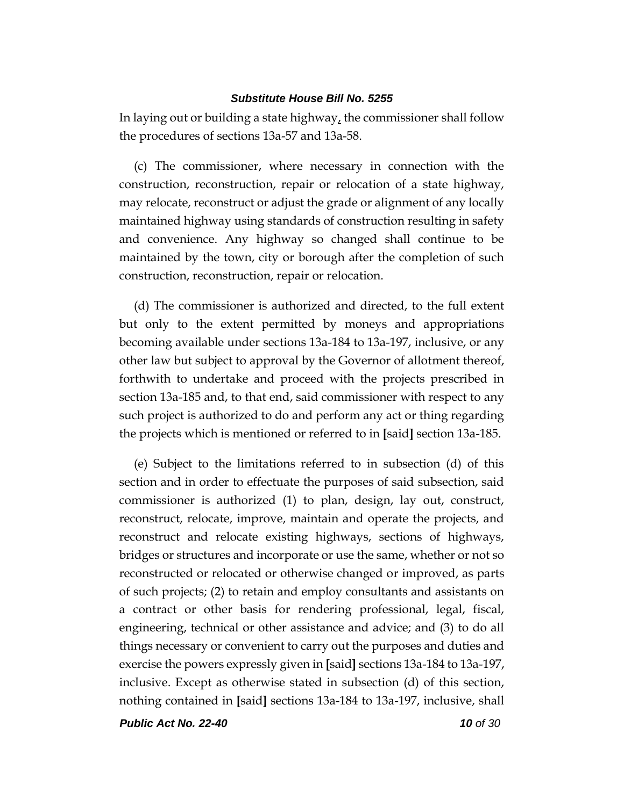In laying out or building a state highway, the commissioner shall follow the procedures of sections 13a-57 and 13a-58.

(c) The commissioner, where necessary in connection with the construction, reconstruction, repair or relocation of a state highway, may relocate, reconstruct or adjust the grade or alignment of any locally maintained highway using standards of construction resulting in safety and convenience. Any highway so changed shall continue to be maintained by the town, city or borough after the completion of such construction, reconstruction, repair or relocation.

(d) The commissioner is authorized and directed, to the full extent but only to the extent permitted by moneys and appropriations becoming available under sections 13a-184 to 13a-197, inclusive, or any other law but subject to approval by the Governor of allotment thereof, forthwith to undertake and proceed with the projects prescribed in section 13a-185 and, to that end, said commissioner with respect to any such project is authorized to do and perform any act or thing regarding the projects which is mentioned or referred to in **[**said**]** section 13a-185.

(e) Subject to the limitations referred to in subsection (d) of this section and in order to effectuate the purposes of said subsection, said commissioner is authorized (1) to plan, design, lay out, construct, reconstruct, relocate, improve, maintain and operate the projects, and reconstruct and relocate existing highways, sections of highways, bridges or structures and incorporate or use the same, whether or not so reconstructed or relocated or otherwise changed or improved, as parts of such projects; (2) to retain and employ consultants and assistants on a contract or other basis for rendering professional, legal, fiscal, engineering, technical or other assistance and advice; and (3) to do all things necessary or convenient to carry out the purposes and duties and exercise the powers expressly given in **[**said**]** sections 13a-184 to 13a-197, inclusive. Except as otherwise stated in subsection (d) of this section, nothing contained in **[**said**]** sections 13a-184 to 13a-197, inclusive, shall

*Public Act No. 22-40 10 of 30*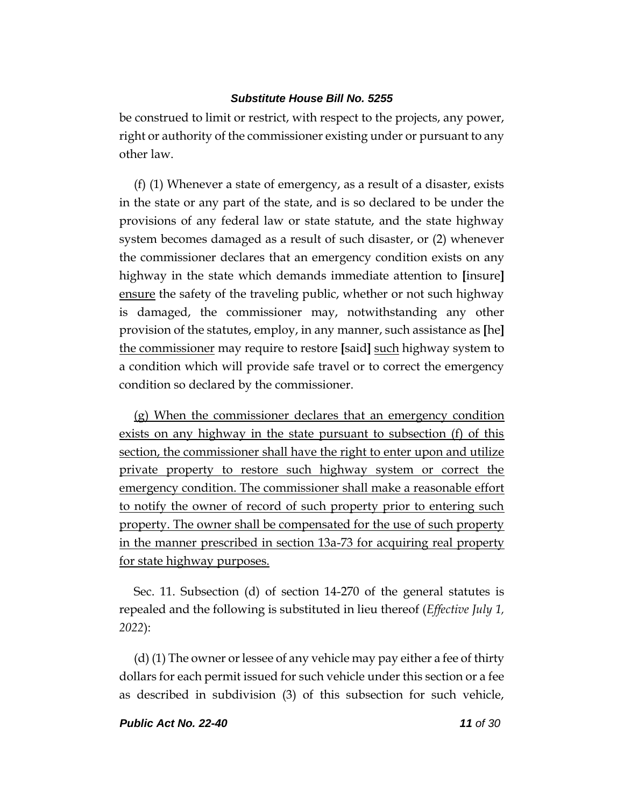be construed to limit or restrict, with respect to the projects, any power, right or authority of the commissioner existing under or pursuant to any other law.

(f) (1) Whenever a state of emergency, as a result of a disaster, exists in the state or any part of the state, and is so declared to be under the provisions of any federal law or state statute, and the state highway system becomes damaged as a result of such disaster, or (2) whenever the commissioner declares that an emergency condition exists on any highway in the state which demands immediate attention to **[**insure**]** ensure the safety of the traveling public, whether or not such highway is damaged, the commissioner may, notwithstanding any other provision of the statutes, employ, in any manner, such assistance as **[**he**]** the commissioner may require to restore **[**said**]** such highway system to a condition which will provide safe travel or to correct the emergency condition so declared by the commissioner.

(g) When the commissioner declares that an emergency condition exists on any highway in the state pursuant to subsection (f) of this section, the commissioner shall have the right to enter upon and utilize private property to restore such highway system or correct the emergency condition. The commissioner shall make a reasonable effort to notify the owner of record of such property prior to entering such property. The owner shall be compensated for the use of such property in the manner prescribed in section 13a-73 for acquiring real property for state highway purposes.

Sec. 11. Subsection (d) of section 14-270 of the general statutes is repealed and the following is substituted in lieu thereof (*Effective July 1, 2022*):

(d) (1) The owner or lessee of any vehicle may pay either a fee of thirty dollars for each permit issued for such vehicle under this section or a fee as described in subdivision (3) of this subsection for such vehicle,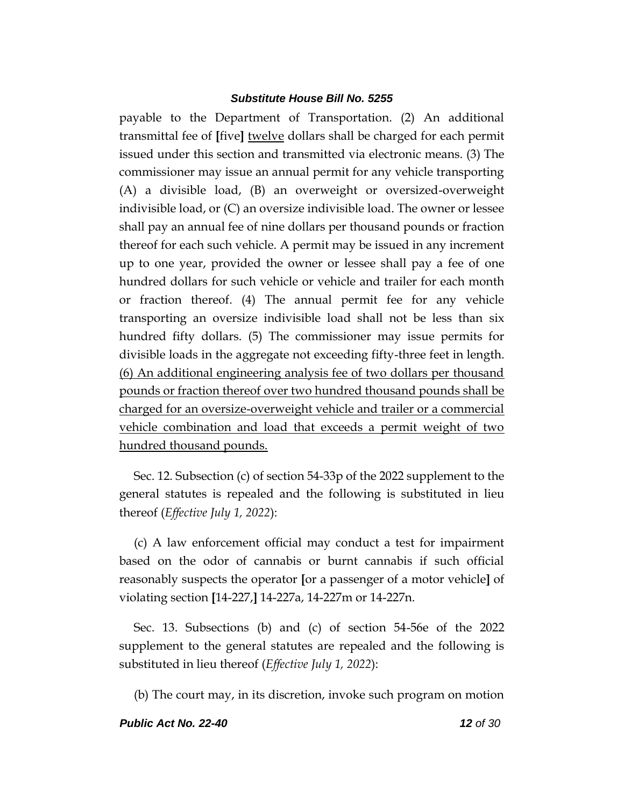payable to the Department of Transportation. (2) An additional transmittal fee of **[**five**]** twelve dollars shall be charged for each permit issued under this section and transmitted via electronic means. (3) The commissioner may issue an annual permit for any vehicle transporting (A) a divisible load, (B) an overweight or oversized-overweight indivisible load, or (C) an oversize indivisible load. The owner or lessee shall pay an annual fee of nine dollars per thousand pounds or fraction thereof for each such vehicle. A permit may be issued in any increment up to one year, provided the owner or lessee shall pay a fee of one hundred dollars for such vehicle or vehicle and trailer for each month or fraction thereof. (4) The annual permit fee for any vehicle transporting an oversize indivisible load shall not be less than six hundred fifty dollars. (5) The commissioner may issue permits for divisible loads in the aggregate not exceeding fifty-three feet in length. (6) An additional engineering analysis fee of two dollars per thousand pounds or fraction thereof over two hundred thousand pounds shall be charged for an oversize-overweight vehicle and trailer or a commercial vehicle combination and load that exceeds a permit weight of two hundred thousand pounds.

Sec. 12. Subsection (c) of section 54-33p of the 2022 supplement to the general statutes is repealed and the following is substituted in lieu thereof (*Effective July 1, 2022*):

(c) A law enforcement official may conduct a test for impairment based on the odor of cannabis or burnt cannabis if such official reasonably suspects the operator **[**or a passenger of a motor vehicle**]** of violating section **[**14-227,**]** 14-227a, 14-227m or 14-227n.

Sec. 13. Subsections (b) and (c) of section 54-56e of the 2022 supplement to the general statutes are repealed and the following is substituted in lieu thereof (*Effective July 1, 2022*):

(b) The court may, in its discretion, invoke such program on motion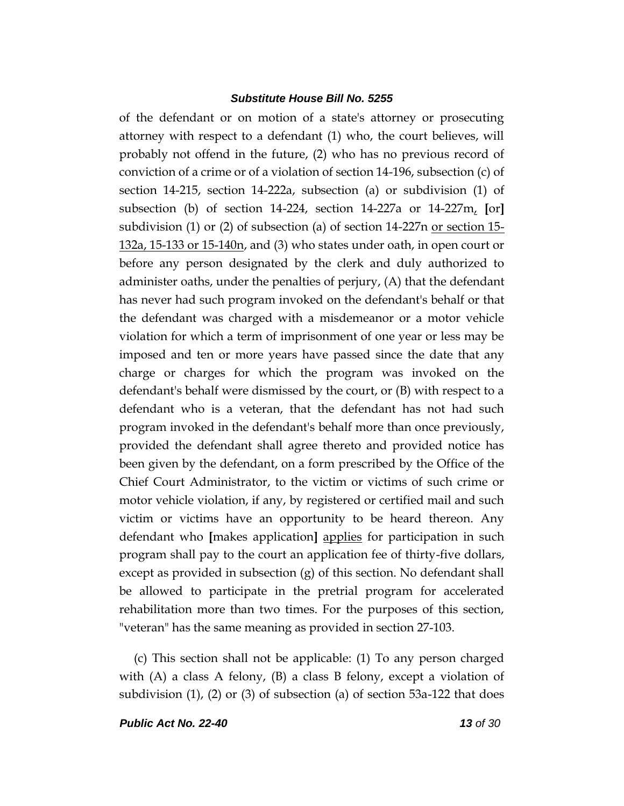of the defendant or on motion of a state's attorney or prosecuting attorney with respect to a defendant (1) who, the court believes, will probably not offend in the future, (2) who has no previous record of conviction of a crime or of a violation of section 14-196, subsection (c) of section 14-215, section 14-222a, subsection (a) or subdivision (1) of subsection (b) of section 14-224, section 14-227a or 14-227m, **[**or**]** subdivision (1) or (2) of subsection (a) of section  $14-227n$  or section  $15-$ 132a, 15-133 or 15-140n, and (3) who states under oath, in open court or before any person designated by the clerk and duly authorized to administer oaths, under the penalties of perjury, (A) that the defendant has never had such program invoked on the defendant's behalf or that the defendant was charged with a misdemeanor or a motor vehicle violation for which a term of imprisonment of one year or less may be imposed and ten or more years have passed since the date that any charge or charges for which the program was invoked on the defendant's behalf were dismissed by the court, or (B) with respect to a defendant who is a veteran, that the defendant has not had such program invoked in the defendant's behalf more than once previously, provided the defendant shall agree thereto and provided notice has been given by the defendant, on a form prescribed by the Office of the Chief Court Administrator, to the victim or victims of such crime or motor vehicle violation, if any, by registered or certified mail and such victim or victims have an opportunity to be heard thereon. Any defendant who **[**makes application**]** applies for participation in such program shall pay to the court an application fee of thirty-five dollars, except as provided in subsection (g) of this section. No defendant shall be allowed to participate in the pretrial program for accelerated rehabilitation more than two times. For the purposes of this section, "veteran" has the same meaning as provided in section 27-103.

(c) This section shall not be applicable: (1) To any person charged with (A) a class A felony, (B) a class B felony, except a violation of subdivision  $(1)$ ,  $(2)$  or  $(3)$  of subsection  $(a)$  of section 53a-122 that does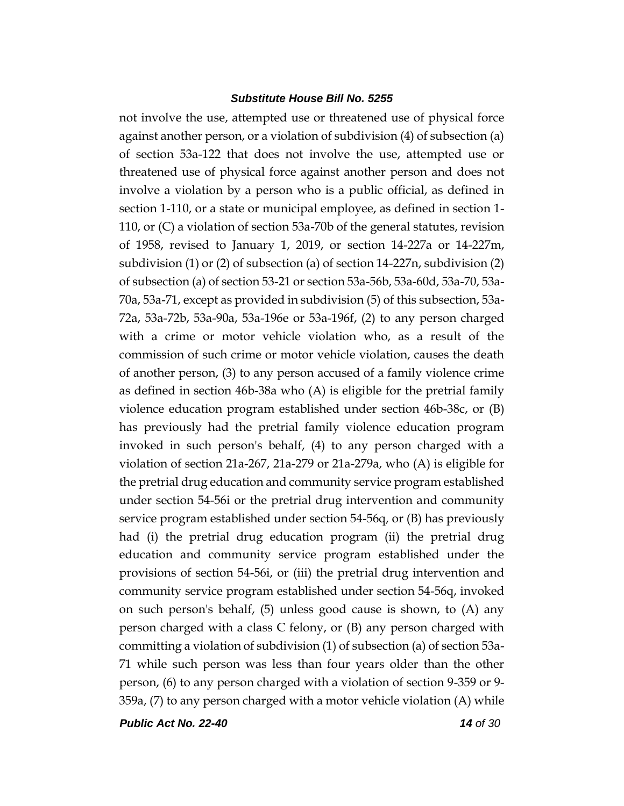not involve the use, attempted use or threatened use of physical force against another person, or a violation of subdivision (4) of subsection (a) of section 53a-122 that does not involve the use, attempted use or threatened use of physical force against another person and does not involve a violation by a person who is a public official, as defined in section 1-110, or a state or municipal employee, as defined in section 1- 110, or (C) a violation of section 53a-70b of the general statutes, revision of 1958, revised to January 1, 2019, or section 14-227a or 14-227m, subdivision (1) or (2) of subsection (a) of section 14-227n, subdivision (2) of subsection (a) of section 53-21 or section 53a-56b, 53a-60d, 53a-70, 53a-70a, 53a-71, except as provided in subdivision (5) of this subsection, 53a-72a, 53a-72b, 53a-90a, 53a-196e or 53a-196f, (2) to any person charged with a crime or motor vehicle violation who, as a result of the commission of such crime or motor vehicle violation, causes the death of another person, (3) to any person accused of a family violence crime as defined in section 46b-38a who (A) is eligible for the pretrial family violence education program established under section 46b-38c, or (B) has previously had the pretrial family violence education program invoked in such person's behalf, (4) to any person charged with a violation of section 21a-267, 21a-279 or 21a-279a, who (A) is eligible for the pretrial drug education and community service program established under section 54-56i or the pretrial drug intervention and community service program established under section 54-56q, or (B) has previously had (i) the pretrial drug education program (ii) the pretrial drug education and community service program established under the provisions of section 54-56i, or (iii) the pretrial drug intervention and community service program established under section 54-56q, invoked on such person's behalf,  $(5)$  unless good cause is shown, to  $(A)$  any person charged with a class C felony, or (B) any person charged with committing a violation of subdivision (1) of subsection (a) of section 53a-71 while such person was less than four years older than the other person, (6) to any person charged with a violation of section 9-359 or 9- 359a, (7) to any person charged with a motor vehicle violation (A) while

*Public Act No. 22-40 14 of 30*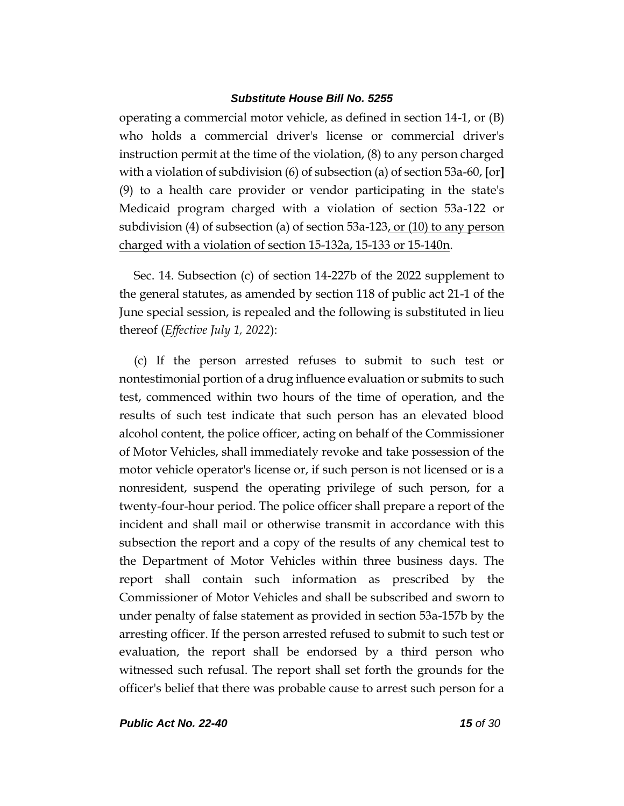operating a commercial motor vehicle, as defined in section 14-1, or (B) who holds a commercial driver's license or commercial driver's instruction permit at the time of the violation, (8) to any person charged with a violation of subdivision (6) of subsection (a) of section 53a-60, **[**or**]** (9) to a health care provider or vendor participating in the state's Medicaid program charged with a violation of section 53a-122 or subdivision (4) of subsection (a) of section 53a-123, or (10) to any person charged with a violation of section 15-132a, 15-133 or 15-140n.

Sec. 14. Subsection (c) of section 14-227b of the 2022 supplement to the general statutes, as amended by section 118 of public act 21-1 of the June special session, is repealed and the following is substituted in lieu thereof (*Effective July 1, 2022*):

(c) If the person arrested refuses to submit to such test or nontestimonial portion of a drug influence evaluation or submits to such test, commenced within two hours of the time of operation, and the results of such test indicate that such person has an elevated blood alcohol content, the police officer, acting on behalf of the Commissioner of Motor Vehicles, shall immediately revoke and take possession of the motor vehicle operator's license or, if such person is not licensed or is a nonresident, suspend the operating privilege of such person, for a twenty-four-hour period. The police officer shall prepare a report of the incident and shall mail or otherwise transmit in accordance with this subsection the report and a copy of the results of any chemical test to the Department of Motor Vehicles within three business days. The report shall contain such information as prescribed by the Commissioner of Motor Vehicles and shall be subscribed and sworn to under penalty of false statement as provided in section 53a-157b by the arresting officer. If the person arrested refused to submit to such test or evaluation, the report shall be endorsed by a third person who witnessed such refusal. The report shall set forth the grounds for the officer's belief that there was probable cause to arrest such person for a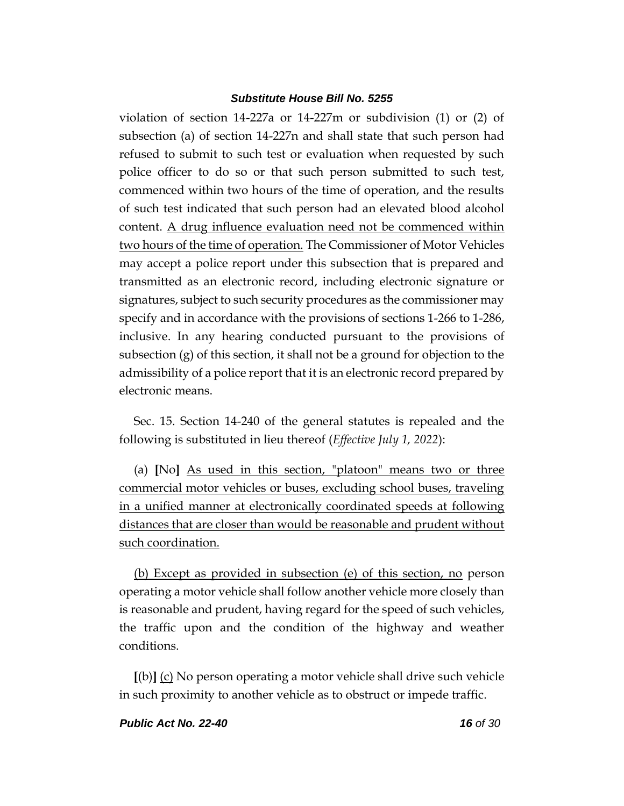violation of section 14-227a or 14-227m or subdivision (1) or (2) of subsection (a) of section 14-227n and shall state that such person had refused to submit to such test or evaluation when requested by such police officer to do so or that such person submitted to such test, commenced within two hours of the time of operation, and the results of such test indicated that such person had an elevated blood alcohol content. A drug influence evaluation need not be commenced within two hours of the time of operation. The Commissioner of Motor Vehicles may accept a police report under this subsection that is prepared and transmitted as an electronic record, including electronic signature or signatures, subject to such security procedures as the commissioner may specify and in accordance with the provisions of sections 1-266 to 1-286, inclusive. In any hearing conducted pursuant to the provisions of subsection (g) of this section, it shall not be a ground for objection to the admissibility of a police report that it is an electronic record prepared by electronic means.

Sec. 15. Section 14-240 of the general statutes is repealed and the following is substituted in lieu thereof (*Effective July 1, 2022*):

(a) **[**No**]** As used in this section, "platoon" means two or three commercial motor vehicles or buses, excluding school buses, traveling in a unified manner at electronically coordinated speeds at following distances that are closer than would be reasonable and prudent without such coordination.

(b) Except as provided in subsection (e) of this section, no person operating a motor vehicle shall follow another vehicle more closely than is reasonable and prudent, having regard for the speed of such vehicles, the traffic upon and the condition of the highway and weather conditions.

**[**(b)**]** (c) No person operating a motor vehicle shall drive such vehicle in such proximity to another vehicle as to obstruct or impede traffic.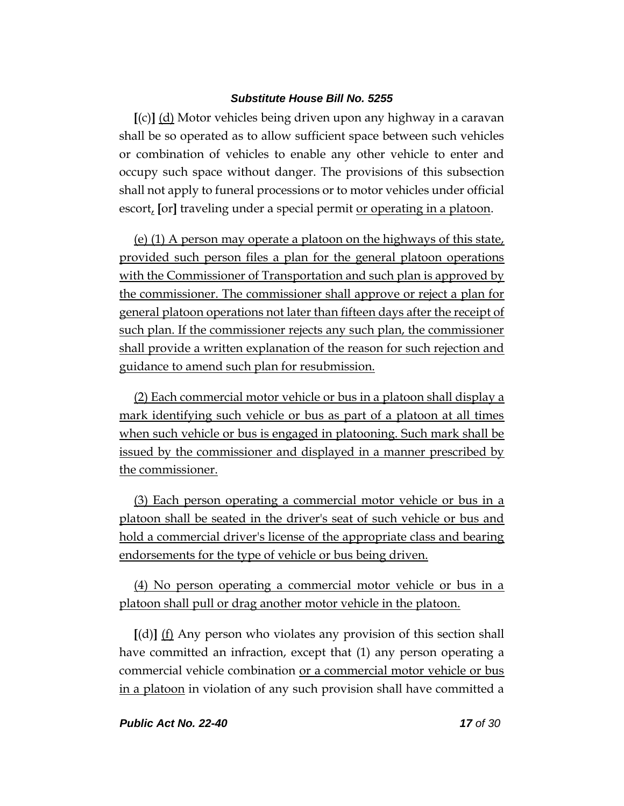**[**(c)**]** (d) Motor vehicles being driven upon any highway in a caravan shall be so operated as to allow sufficient space between such vehicles or combination of vehicles to enable any other vehicle to enter and occupy such space without danger. The provisions of this subsection shall not apply to funeral processions or to motor vehicles under official escort, **[**or**]** traveling under a special permit or operating in a platoon.

(e) (1) A person may operate a platoon on the highways of this state, provided such person files a plan for the general platoon operations with the Commissioner of Transportation and such plan is approved by the commissioner. The commissioner shall approve or reject a plan for general platoon operations not later than fifteen days after the receipt of such plan. If the commissioner rejects any such plan, the commissioner shall provide a written explanation of the reason for such rejection and guidance to amend such plan for resubmission.

(2) Each commercial motor vehicle or bus in a platoon shall display a mark identifying such vehicle or bus as part of a platoon at all times when such vehicle or bus is engaged in platooning. Such mark shall be issued by the commissioner and displayed in a manner prescribed by the commissioner.

(3) Each person operating a commercial motor vehicle or bus in a platoon shall be seated in the driver's seat of such vehicle or bus and hold a commercial driver's license of the appropriate class and bearing endorsements for the type of vehicle or bus being driven.

(4) No person operating a commercial motor vehicle or bus in a platoon shall pull or drag another motor vehicle in the platoon.

**[**(d)**]** (f) Any person who violates any provision of this section shall have committed an infraction, except that (1) any person operating a commercial vehicle combination or a commercial motor vehicle or bus in a platoon in violation of any such provision shall have committed a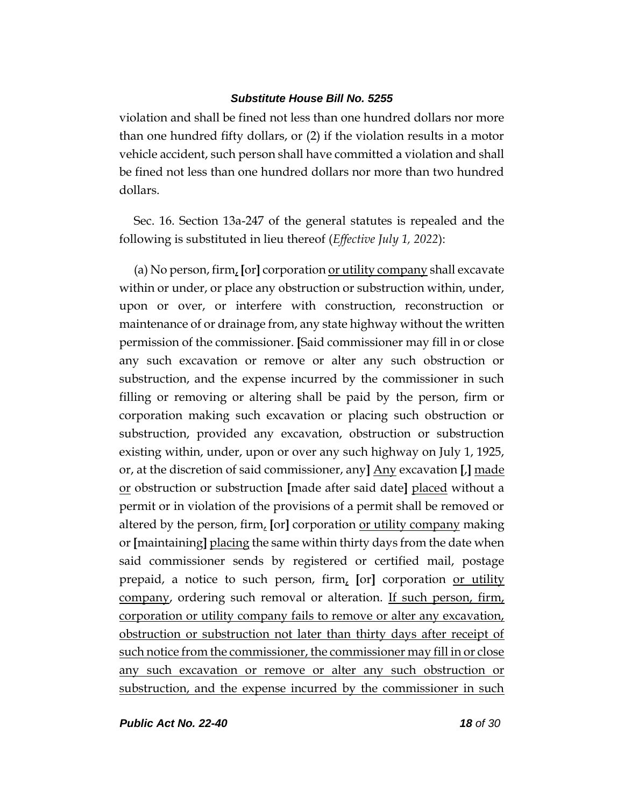violation and shall be fined not less than one hundred dollars nor more than one hundred fifty dollars, or (2) if the violation results in a motor vehicle accident, such person shall have committed a violation and shall be fined not less than one hundred dollars nor more than two hundred dollars.

Sec. 16. Section 13a-247 of the general statutes is repealed and the following is substituted in lieu thereof (*Effective July 1, 2022*):

(a) No person, firm, **[**or**]** corporation or utility company shall excavate within or under, or place any obstruction or substruction within, under, upon or over, or interfere with construction, reconstruction or maintenance of or drainage from, any state highway without the written permission of the commissioner. **[**Said commissioner may fill in or close any such excavation or remove or alter any such obstruction or substruction, and the expense incurred by the commissioner in such filling or removing or altering shall be paid by the person, firm or corporation making such excavation or placing such obstruction or substruction, provided any excavation, obstruction or substruction existing within, under, upon or over any such highway on July 1, 1925, or, at the discretion of said commissioner, any**]** Any excavation **[**,**]** made or obstruction or substruction **[**made after said date**]** placed without a permit or in violation of the provisions of a permit shall be removed or altered by the person, firm, **[**or**]** corporation or utility company making or **[**maintaining**]** placing the same within thirty days from the date when said commissioner sends by registered or certified mail, postage prepaid, a notice to such person, firm, **[**or**]** corporation or utility company, ordering such removal or alteration. If such person, firm, corporation or utility company fails to remove or alter any excavation, obstruction or substruction not later than thirty days after receipt of such notice from the commissioner, the commissioner may fill in or close any such excavation or remove or alter any such obstruction or substruction, and the expense incurred by the commissioner in such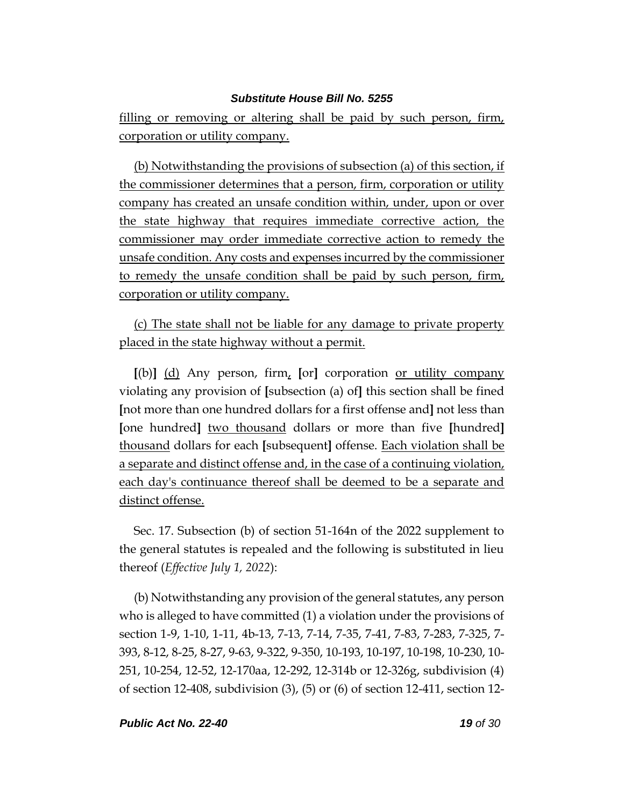filling or removing or altering shall be paid by such person, firm, corporation or utility company.

(b) Notwithstanding the provisions of subsection (a) of this section, if the commissioner determines that a person, firm, corporation or utility company has created an unsafe condition within, under, upon or over the state highway that requires immediate corrective action, the commissioner may order immediate corrective action to remedy the unsafe condition. Any costs and expenses incurred by the commissioner to remedy the unsafe condition shall be paid by such person, firm, corporation or utility company.

(c) The state shall not be liable for any damage to private property placed in the state highway without a permit.

**[**(b)**]** (d) Any person, firm, **[**or**]** corporation or utility company violating any provision of **[**subsection (a) of**]** this section shall be fined **[**not more than one hundred dollars for a first offense and**]** not less than **[**one hundred**]** two thousand dollars or more than five **[**hundred**]** thousand dollars for each **[**subsequent**]** offense. Each violation shall be a separate and distinct offense and, in the case of a continuing violation, each day's continuance thereof shall be deemed to be a separate and distinct offense.

Sec. 17. Subsection (b) of section 51-164n of the 2022 supplement to the general statutes is repealed and the following is substituted in lieu thereof (*Effective July 1, 2022*):

(b) Notwithstanding any provision of the general statutes, any person who is alleged to have committed (1) a violation under the provisions of section 1-9, 1-10, 1-11, 4b-13, 7-13, 7-14, 7-35, 7-41, 7-83, 7-283, 7-325, 7- 393, 8-12, 8-25, 8-27, 9-63, 9-322, 9-350, 10-193, 10-197, 10-198, 10-230, 10- 251, 10-254, 12-52, 12-170aa, 12-292, 12-314b or 12-326g, subdivision (4) of section 12-408, subdivision (3), (5) or (6) of section 12-411, section 12-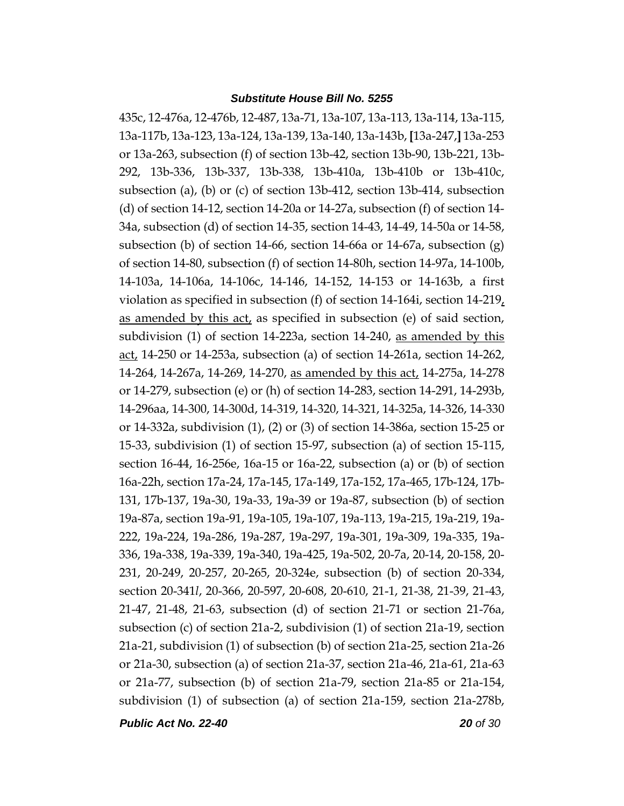435c, 12-476a, 12-476b, 12-487, 13a-71, 13a-107, 13a-113, 13a-114, 13a-115, 13a-117b, 13a-123, 13a-124, 13a-139, 13a-140, 13a-143b, **[**13a-247,**]** 13a-253 or 13a-263, subsection (f) of section 13b-42, section 13b-90, 13b-221, 13b-292, 13b-336, 13b-337, 13b-338, 13b-410a, 13b-410b or 13b-410c, subsection (a), (b) or (c) of section 13b-412, section 13b-414, subsection (d) of section 14-12, section 14-20a or 14-27a, subsection (f) of section 14- 34a, subsection (d) of section 14-35, section 14-43, 14-49, 14-50a or 14-58, subsection (b) of section 14-66, section 14-66a or 14-67a, subsection (g) of section 14-80, subsection (f) of section 14-80h, section 14-97a, 14-100b, 14-103a, 14-106a, 14-106c, 14-146, 14-152, 14-153 or 14-163b, a first violation as specified in subsection (f) of section 14-164i, section 14-219, as amended by this act, as specified in subsection (e) of said section, subdivision (1) of section 14-223a, section 14-240, as amended by this act, 14-250 or 14-253a, subsection (a) of section 14-261a, section 14-262, 14-264, 14-267a, 14-269, 14-270, as amended by this act, 14-275a, 14-278 or 14-279, subsection (e) or (h) of section 14-283, section 14-291, 14-293b, 14-296aa, 14-300, 14-300d, 14-319, 14-320, 14-321, 14-325a, 14-326, 14-330 or 14-332a, subdivision (1), (2) or (3) of section 14-386a, section 15-25 or 15-33, subdivision (1) of section 15-97, subsection (a) of section 15-115, section 16-44, 16-256e, 16a-15 or 16a-22, subsection (a) or (b) of section 16a-22h, section 17a-24, 17a-145, 17a-149, 17a-152, 17a-465, 17b-124, 17b-131, 17b-137, 19a-30, 19a-33, 19a-39 or 19a-87, subsection (b) of section 19a-87a, section 19a-91, 19a-105, 19a-107, 19a-113, 19a-215, 19a-219, 19a-222, 19a-224, 19a-286, 19a-287, 19a-297, 19a-301, 19a-309, 19a-335, 19a-336, 19a-338, 19a-339, 19a-340, 19a-425, 19a-502, 20-7a, 20-14, 20-158, 20- 231, 20-249, 20-257, 20-265, 20-324e, subsection (b) of section 20-334, section 20-341*l*, 20-366, 20-597, 20-608, 20-610, 21-1, 21-38, 21-39, 21-43, 21-47, 21-48, 21-63, subsection (d) of section 21-71 or section 21-76a, subsection (c) of section 21a-2, subdivision (1) of section 21a-19, section 21a-21, subdivision (1) of subsection (b) of section 21a-25, section 21a-26 or 21a-30, subsection (a) of section 21a-37, section 21a-46, 21a-61, 21a-63 or 21a-77, subsection (b) of section 21a-79, section 21a-85 or 21a-154, subdivision (1) of subsection (a) of section 21a-159, section 21a-278b,

*Public Act No. 22-40 20 of 30*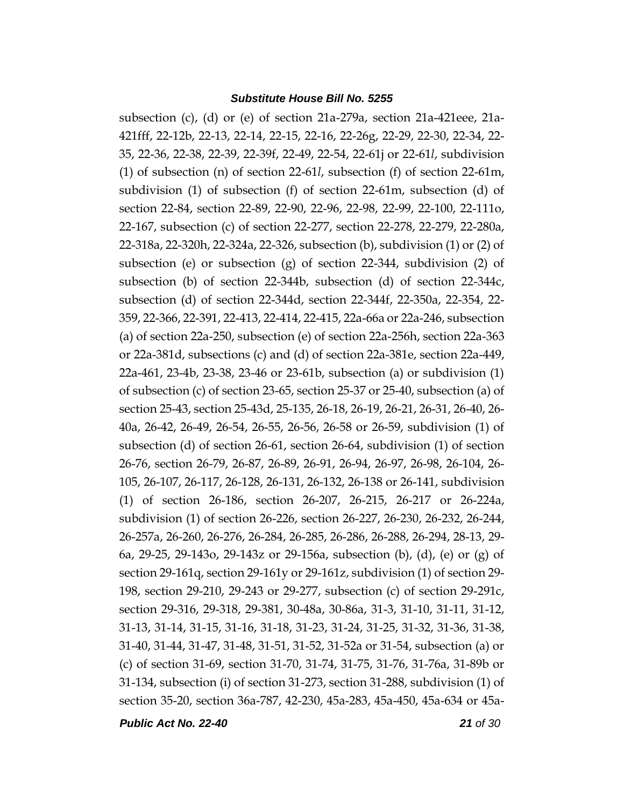subsection (c), (d) or (e) of section 21a-279a, section 21a-421eee, 21a-421fff, 22-12b, 22-13, 22-14, 22-15, 22-16, 22-26g, 22-29, 22-30, 22-34, 22- 35, 22-36, 22-38, 22-39, 22-39f, 22-49, 22-54, 22-61j or 22-61*l*, subdivision (1) of subsection (n) of section 22-61*l*, subsection (f) of section 22-61m, subdivision (1) of subsection (f) of section 22-61m, subsection (d) of section 22-84, section 22-89, 22-90, 22-96, 22-98, 22-99, 22-100, 22-111o, 22-167, subsection (c) of section 22-277, section 22-278, 22-279, 22-280a, 22-318a, 22-320h, 22-324a, 22-326, subsection (b), subdivision (1) or (2) of subsection (e) or subsection (g) of section 22-344, subdivision (2) of subsection (b) of section 22-344b, subsection (d) of section 22-344c, subsection (d) of section 22-344d, section 22-344f, 22-350a, 22-354, 22- 359, 22-366, 22-391, 22-413, 22-414, 22-415, 22a-66a or 22a-246, subsection (a) of section 22a-250, subsection (e) of section 22a-256h, section 22a-363 or 22a-381d, subsections (c) and (d) of section 22a-381e, section 22a-449, 22a-461, 23-4b, 23-38, 23-46 or 23-61b, subsection (a) or subdivision (1) of subsection (c) of section 23-65, section 25-37 or 25-40, subsection (a) of section 25-43, section 25-43d, 25-135, 26-18, 26-19, 26-21, 26-31, 26-40, 26- 40a, 26-42, 26-49, 26-54, 26-55, 26-56, 26-58 or 26-59, subdivision (1) of subsection (d) of section 26-61, section 26-64, subdivision (1) of section 26-76, section 26-79, 26-87, 26-89, 26-91, 26-94, 26-97, 26-98, 26-104, 26- 105, 26-107, 26-117, 26-128, 26-131, 26-132, 26-138 or 26-141, subdivision (1) of section 26-186, section 26-207, 26-215, 26-217 or 26-224a, subdivision (1) of section 26-226, section 26-227, 26-230, 26-232, 26-244, 26-257a, 26-260, 26-276, 26-284, 26-285, 26-286, 26-288, 26-294, 28-13, 29- 6a, 29-25, 29-143o, 29-143z or 29-156a, subsection (b), (d), (e) or (g) of section 29-161q, section 29-161y or 29-161z, subdivision (1) of section 29- 198, section 29-210, 29-243 or 29-277, subsection (c) of section 29-291c, section 29-316, 29-318, 29-381, 30-48a, 30-86a, 31-3, 31-10, 31-11, 31-12, 31-13, 31-14, 31-15, 31-16, 31-18, 31-23, 31-24, 31-25, 31-32, 31-36, 31-38, 31-40, 31-44, 31-47, 31-48, 31-51, 31-52, 31-52a or 31-54, subsection (a) or (c) of section 31-69, section 31-70, 31-74, 31-75, 31-76, 31-76a, 31-89b or 31-134, subsection (i) of section 31-273, section 31-288, subdivision (1) of section 35-20, section 36a-787, 42-230, 45a-283, 45a-450, 45a-634 or 45a-

*Public Act No. 22-40 21 of 30*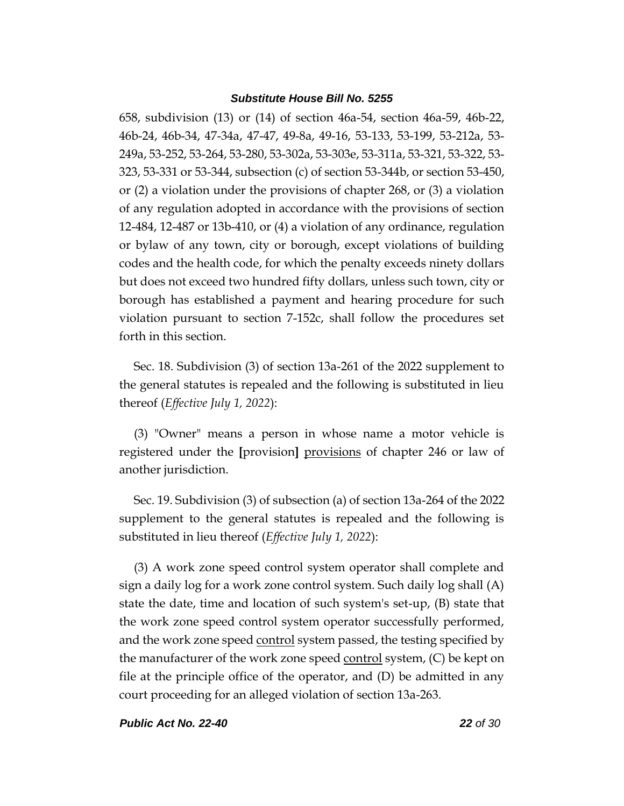658, subdivision (13) or (14) of section 46a-54, section 46a-59, 46b-22, 46b-24, 46b-34, 47-34a, 47-47, 49-8a, 49-16, 53-133, 53-199, 53-212a, 53- 249a, 53-252, 53-264, 53-280, 53-302a, 53-303e, 53-311a, 53-321, 53-322, 53- 323, 53-331 or 53-344, subsection (c) of section 53-344b, or section 53-450, or (2) a violation under the provisions of chapter 268, or (3) a violation of any regulation adopted in accordance with the provisions of section 12-484, 12-487 or 13b-410, or (4) a violation of any ordinance, regulation or bylaw of any town, city or borough, except violations of building codes and the health code, for which the penalty exceeds ninety dollars but does not exceed two hundred fifty dollars, unless such town, city or borough has established a payment and hearing procedure for such violation pursuant to section 7-152c, shall follow the procedures set forth in this section.

Sec. 18. Subdivision (3) of section 13a-261 of the 2022 supplement to the general statutes is repealed and the following is substituted in lieu thereof (*Effective July 1, 2022*):

(3) "Owner" means a person in whose name a motor vehicle is registered under the **[**provision**]** provisions of chapter 246 or law of another jurisdiction.

Sec. 19. Subdivision (3) of subsection (a) of section 13a-264 of the 2022 supplement to the general statutes is repealed and the following is substituted in lieu thereof (*Effective July 1, 2022*):

(3) A work zone speed control system operator shall complete and sign a daily log for a work zone control system. Such daily log shall (A) state the date, time and location of such system's set-up, (B) state that the work zone speed control system operator successfully performed, and the work zone speed control system passed, the testing specified by the manufacturer of the work zone speed <u>control</u> system, (C) be kept on file at the principle office of the operator, and (D) be admitted in any court proceeding for an alleged violation of section 13a-263.

*Public Act No. 22-40 22 of 30*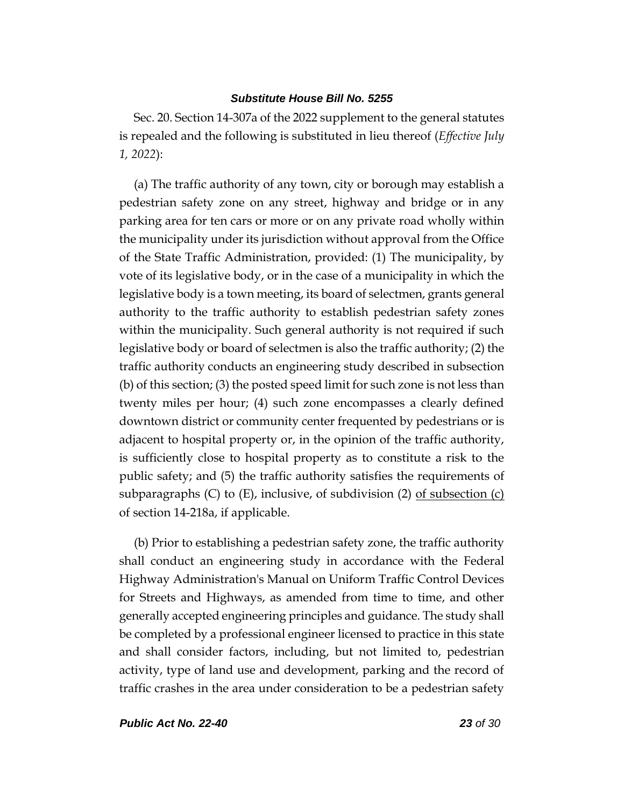Sec. 20. Section 14-307a of the 2022 supplement to the general statutes is repealed and the following is substituted in lieu thereof (*Effective July 1, 2022*):

(a) The traffic authority of any town, city or borough may establish a pedestrian safety zone on any street, highway and bridge or in any parking area for ten cars or more or on any private road wholly within the municipality under its jurisdiction without approval from the Office of the State Traffic Administration, provided: (1) The municipality, by vote of its legislative body, or in the case of a municipality in which the legislative body is a town meeting, its board of selectmen, grants general authority to the traffic authority to establish pedestrian safety zones within the municipality. Such general authority is not required if such legislative body or board of selectmen is also the traffic authority; (2) the traffic authority conducts an engineering study described in subsection (b) of this section; (3) the posted speed limit for such zone is not less than twenty miles per hour; (4) such zone encompasses a clearly defined downtown district or community center frequented by pedestrians or is adjacent to hospital property or, in the opinion of the traffic authority, is sufficiently close to hospital property as to constitute a risk to the public safety; and (5) the traffic authority satisfies the requirements of subparagraphs (C) to (E), inclusive, of subdivision (2) of subsection (c) of section 14-218a, if applicable.

(b) Prior to establishing a pedestrian safety zone, the traffic authority shall conduct an engineering study in accordance with the Federal Highway Administration's Manual on Uniform Traffic Control Devices for Streets and Highways, as amended from time to time, and other generally accepted engineering principles and guidance. The study shall be completed by a professional engineer licensed to practice in this state and shall consider factors, including, but not limited to, pedestrian activity, type of land use and development, parking and the record of traffic crashes in the area under consideration to be a pedestrian safety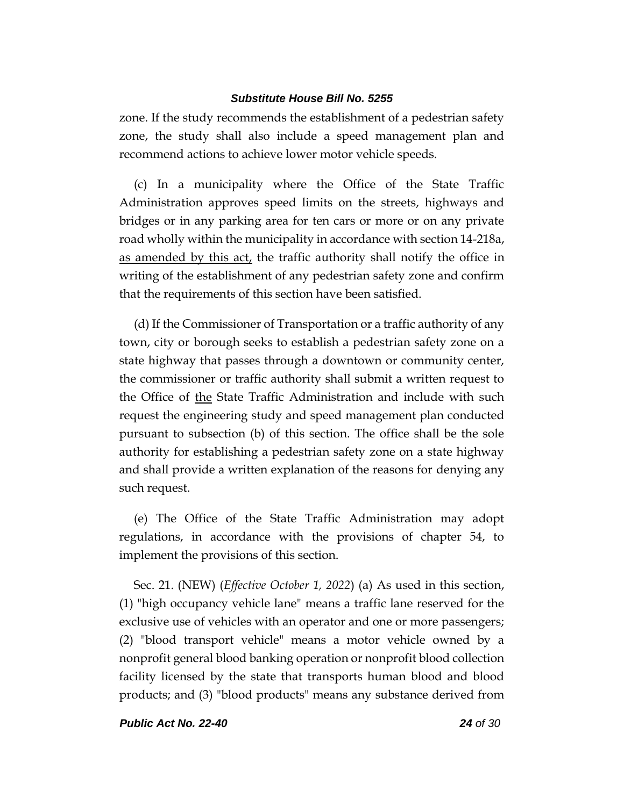zone. If the study recommends the establishment of a pedestrian safety zone, the study shall also include a speed management plan and recommend actions to achieve lower motor vehicle speeds.

(c) In a municipality where the Office of the State Traffic Administration approves speed limits on the streets, highways and bridges or in any parking area for ten cars or more or on any private road wholly within the municipality in accordance with section 14-218a, as amended by this act, the traffic authority shall notify the office in writing of the establishment of any pedestrian safety zone and confirm that the requirements of this section have been satisfied.

(d) If the Commissioner of Transportation or a traffic authority of any town, city or borough seeks to establish a pedestrian safety zone on a state highway that passes through a downtown or community center, the commissioner or traffic authority shall submit a written request to the Office of the State Traffic Administration and include with such request the engineering study and speed management plan conducted pursuant to subsection (b) of this section. The office shall be the sole authority for establishing a pedestrian safety zone on a state highway and shall provide a written explanation of the reasons for denying any such request.

(e) The Office of the State Traffic Administration may adopt regulations, in accordance with the provisions of chapter 54, to implement the provisions of this section.

Sec. 21. (NEW) (*Effective October 1, 2022*) (a) As used in this section, (1) "high occupancy vehicle lane" means a traffic lane reserved for the exclusive use of vehicles with an operator and one or more passengers; (2) "blood transport vehicle" means a motor vehicle owned by a nonprofit general blood banking operation or nonprofit blood collection facility licensed by the state that transports human blood and blood products; and (3) "blood products" means any substance derived from

*Public Act No. 22-40 24 of 30*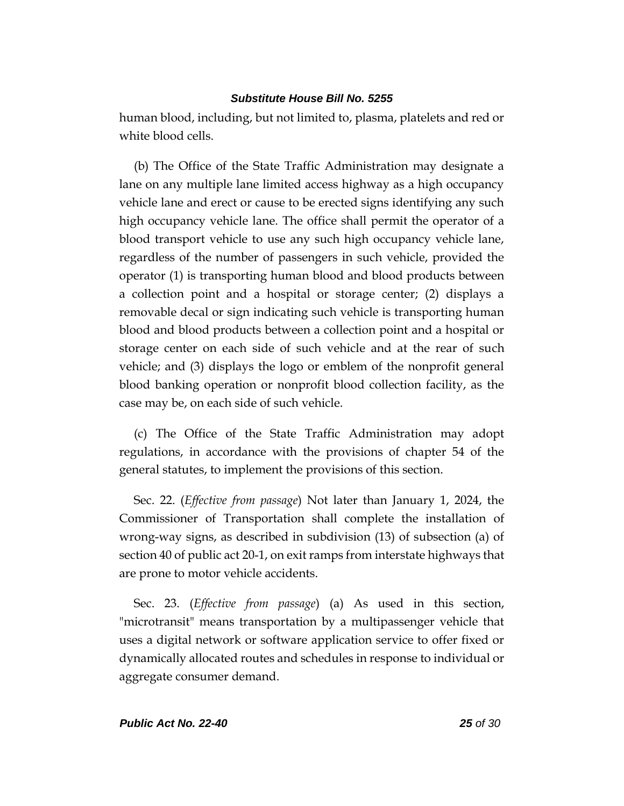human blood, including, but not limited to, plasma, platelets and red or white blood cells.

(b) The Office of the State Traffic Administration may designate a lane on any multiple lane limited access highway as a high occupancy vehicle lane and erect or cause to be erected signs identifying any such high occupancy vehicle lane. The office shall permit the operator of a blood transport vehicle to use any such high occupancy vehicle lane, regardless of the number of passengers in such vehicle, provided the operator (1) is transporting human blood and blood products between a collection point and a hospital or storage center; (2) displays a removable decal or sign indicating such vehicle is transporting human blood and blood products between a collection point and a hospital or storage center on each side of such vehicle and at the rear of such vehicle; and (3) displays the logo or emblem of the nonprofit general blood banking operation or nonprofit blood collection facility, as the case may be, on each side of such vehicle.

(c) The Office of the State Traffic Administration may adopt regulations, in accordance with the provisions of chapter 54 of the general statutes, to implement the provisions of this section.

Sec. 22. (*Effective from passage*) Not later than January 1, 2024, the Commissioner of Transportation shall complete the installation of wrong-way signs, as described in subdivision (13) of subsection (a) of section 40 of public act 20-1, on exit ramps from interstate highways that are prone to motor vehicle accidents.

Sec. 23. (*Effective from passage*) (a) As used in this section, "microtransit" means transportation by a multipassenger vehicle that uses a digital network or software application service to offer fixed or dynamically allocated routes and schedules in response to individual or aggregate consumer demand.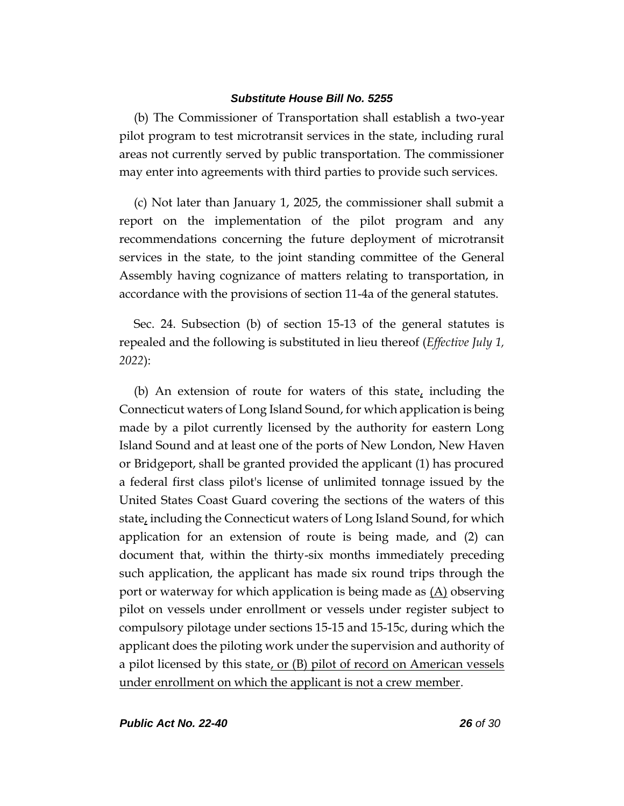(b) The Commissioner of Transportation shall establish a two-year pilot program to test microtransit services in the state, including rural areas not currently served by public transportation. The commissioner may enter into agreements with third parties to provide such services.

(c) Not later than January 1, 2025, the commissioner shall submit a report on the implementation of the pilot program and any recommendations concerning the future deployment of microtransit services in the state, to the joint standing committee of the General Assembly having cognizance of matters relating to transportation, in accordance with the provisions of section 11-4a of the general statutes.

Sec. 24. Subsection (b) of section 15-13 of the general statutes is repealed and the following is substituted in lieu thereof (*Effective July 1, 2022*):

(b) An extension of route for waters of this state, including the Connecticut waters of Long Island Sound, for which application is being made by a pilot currently licensed by the authority for eastern Long Island Sound and at least one of the ports of New London, New Haven or Bridgeport, shall be granted provided the applicant (1) has procured a federal first class pilot's license of unlimited tonnage issued by the United States Coast Guard covering the sections of the waters of this state, including the Connecticut waters of Long Island Sound, for which application for an extension of route is being made, and (2) can document that, within the thirty-six months immediately preceding such application, the applicant has made six round trips through the port or waterway for which application is being made as  $(\underline{A})$  observing pilot on vessels under enrollment or vessels under register subject to compulsory pilotage under sections 15-15 and 15-15c, during which the applicant does the piloting work under the supervision and authority of a pilot licensed by this state, or (B) pilot of record on American vessels under enrollment on which the applicant is not a crew member.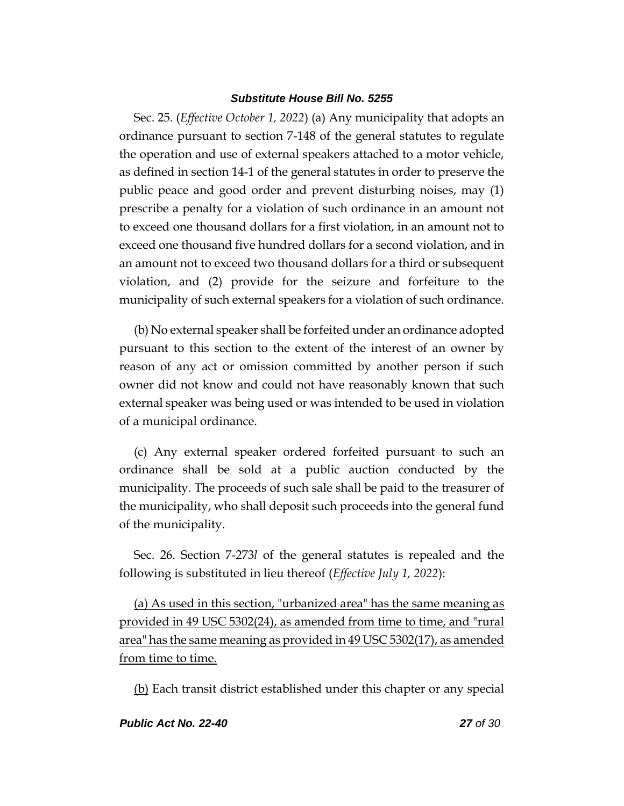Sec. 25. (*Effective October 1, 2022*) (a) Any municipality that adopts an ordinance pursuant to section 7-148 of the general statutes to regulate the operation and use of external speakers attached to a motor vehicle, as defined in section 14-1 of the general statutes in order to preserve the public peace and good order and prevent disturbing noises, may (1) prescribe a penalty for a violation of such ordinance in an amount not to exceed one thousand dollars for a first violation, in an amount not to exceed one thousand five hundred dollars for a second violation, and in an amount not to exceed two thousand dollars for a third or subsequent violation, and (2) provide for the seizure and forfeiture to the municipality of such external speakers for a violation of such ordinance.

(b) No external speaker shall be forfeited under an ordinance adopted pursuant to this section to the extent of the interest of an owner by reason of any act or omission committed by another person if such owner did not know and could not have reasonably known that such external speaker was being used or was intended to be used in violation of a municipal ordinance.

(c) Any external speaker ordered forfeited pursuant to such an ordinance shall be sold at a public auction conducted by the municipality. The proceeds of such sale shall be paid to the treasurer of the municipality, who shall deposit such proceeds into the general fund of the municipality.

Sec. 26. Section 7-273*l* of the general statutes is repealed and the following is substituted in lieu thereof (*Effective July 1, 2022*):

(a) As used in this section, "urbanized area" has the same meaning as provided in 49 USC 5302(24), as amended from time to time, and "rural area" has the same meaning as provided in 49 USC 5302(17), as amended from time to time.

(b) Each transit district established under this chapter or any special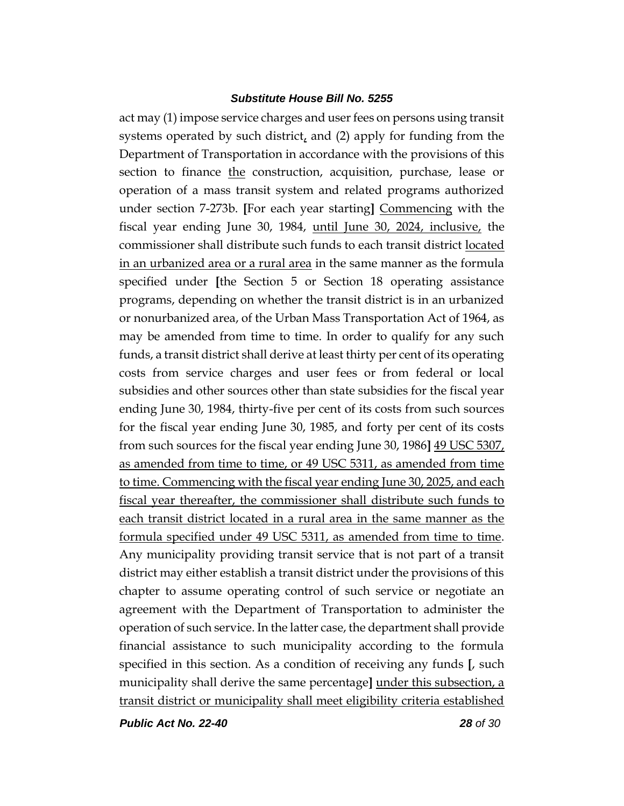act may (1) impose service charges and user fees on persons using transit systems operated by such district, and (2) apply for funding from the Department of Transportation in accordance with the provisions of this section to finance the construction, acquisition, purchase, lease or operation of a mass transit system and related programs authorized under section 7-273b. **[**For each year starting**]** Commencing with the fiscal year ending June 30, 1984, until June 30, 2024, inclusive, the commissioner shall distribute such funds to each transit district located in an urbanized area or a rural area in the same manner as the formula specified under **[**the Section 5 or Section 18 operating assistance programs, depending on whether the transit district is in an urbanized or nonurbanized area, of the Urban Mass Transportation Act of 1964, as may be amended from time to time. In order to qualify for any such funds, a transit district shall derive at least thirty per cent of its operating costs from service charges and user fees or from federal or local subsidies and other sources other than state subsidies for the fiscal year ending June 30, 1984, thirty-five per cent of its costs from such sources for the fiscal year ending June 30, 1985, and forty per cent of its costs from such sources for the fiscal year ending June 30, 1986**]** 49 USC 5307, as amended from time to time, or 49 USC 5311, as amended from time to time. Commencing with the fiscal year ending June 30, 2025, and each fiscal year thereafter, the commissioner shall distribute such funds to each transit district located in a rural area in the same manner as the formula specified under 49 USC 5311, as amended from time to time. Any municipality providing transit service that is not part of a transit district may either establish a transit district under the provisions of this chapter to assume operating control of such service or negotiate an agreement with the Department of Transportation to administer the operation of such service. In the latter case, the department shall provide financial assistance to such municipality according to the formula specified in this section. As a condition of receiving any funds **[**, such municipality shall derive the same percentage**]** under this subsection, a transit district or municipality shall meet eligibility criteria established

*Public Act No. 22-40 28 of 30*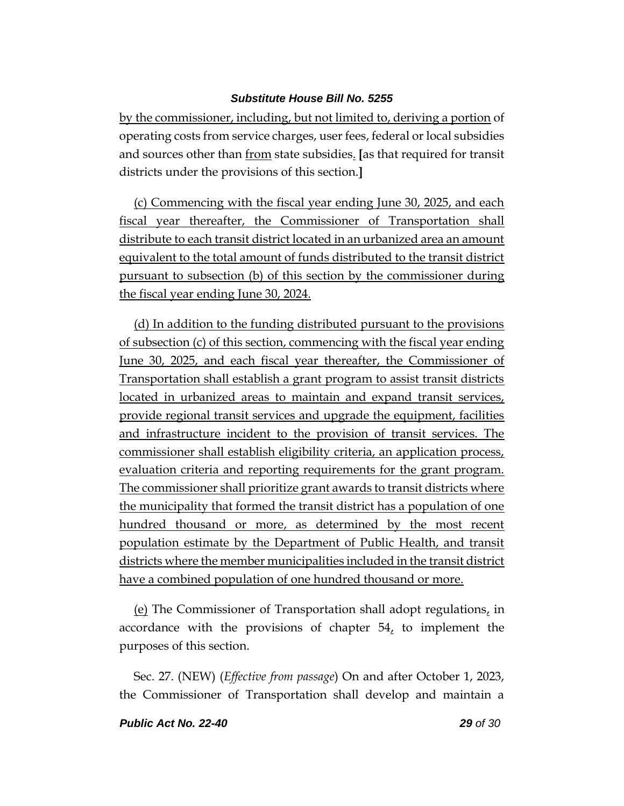by the commissioner, including, but not limited to, deriving a portion of operating costs from service charges, user fees, federal or local subsidies and sources other than from state subsidies. **[**as that required for transit districts under the provisions of this section.**]**

(c) Commencing with the fiscal year ending June 30, 2025, and each fiscal year thereafter, the Commissioner of Transportation shall distribute to each transit district located in an urbanized area an amount equivalent to the total amount of funds distributed to the transit district pursuant to subsection (b) of this section by the commissioner during the fiscal year ending June 30, 2024.

(d) In addition to the funding distributed pursuant to the provisions of subsection (c) of this section, commencing with the fiscal year ending June 30, 2025, and each fiscal year thereafter, the Commissioner of Transportation shall establish a grant program to assist transit districts located in urbanized areas to maintain and expand transit services, provide regional transit services and upgrade the equipment, facilities and infrastructure incident to the provision of transit services. The commissioner shall establish eligibility criteria, an application process, evaluation criteria and reporting requirements for the grant program. The commissioner shall prioritize grant awards to transit districts where the municipality that formed the transit district has a population of one hundred thousand or more, as determined by the most recent population estimate by the Department of Public Health, and transit districts where the member municipalities included in the transit district have a combined population of one hundred thousand or more.

(e) The Commissioner of Transportation shall adopt regulations, in accordance with the provisions of chapter  $54<sub>2</sub>$  to implement the purposes of this section.

Sec. 27. (NEW) (*Effective from passage*) On and after October 1, 2023, the Commissioner of Transportation shall develop and maintain a